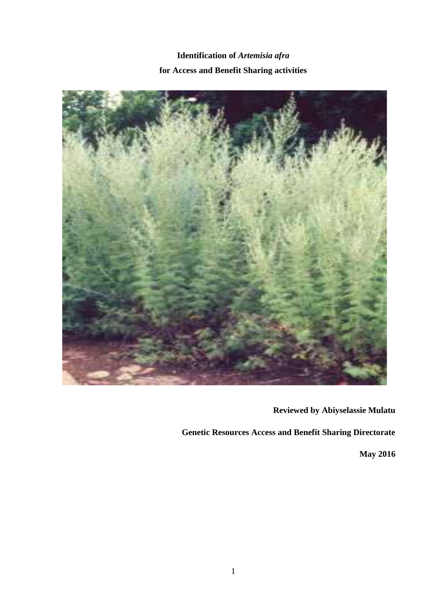**Identification of** *Artemisia afra* **for Access and Benefit Sharing activities**



**Reviewed by Abiyselassie Mulatu**

**Genetic Resources Access and Benefit Sharing Directorate**

**May 2016**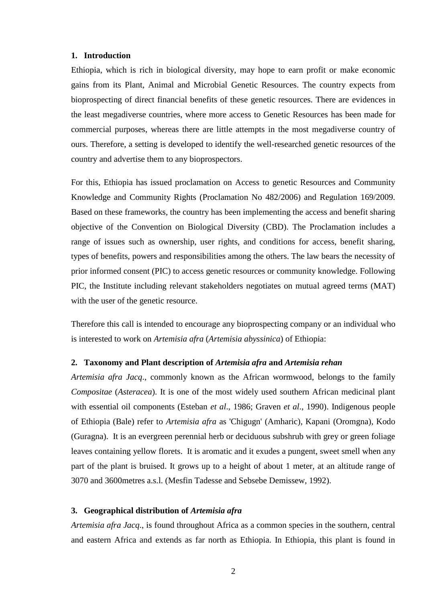#### **1. Introduction**

Ethiopia, which is rich in biological diversity, may hope to earn profit or make economic gains from its Plant, Animal and Microbial Genetic Resources. The country expects from bioprospecting of direct financial benefits of these genetic resources. There are evidences in the least megadiverse countries, where more access to Genetic Resources has been made for commercial purposes, whereas there are little attempts in the most megadiverse country of ours. Therefore, a setting is developed to identify the well-researched genetic resources of the country and advertise them to any bioprospectors.

For this, Ethiopia has issued proclamation on Access to genetic Resources and Community Knowledge and Community Rights (Proclamation No 482/2006) and Regulation 169/2009. Based on these frameworks, the country has been implementing the access and benefit sharing objective of the Convention on Biological Diversity (CBD). The Proclamation includes a range of issues such as ownership, user rights, and conditions for access, benefit sharing, types of benefits, powers and responsibilities among the others. The law bears the necessity of prior informed consent (PIC) to access genetic resources or community knowledge. Following PIC, the Institute including relevant stakeholders negotiates on mutual agreed terms (MAT) with the user of the genetic resource.

Therefore this call is intended to encourage any bioprospecting company or an individual who is interested to work on *Artemisia afra* (*Artemisia abyssinica*) of Ethiopia:

### **2. Taxonomy and Plant description of** *Artemisia afra* **and** *Artemisia rehan*

*Artemisia afra Jacq*., commonly known as the African wormwood, belongs to the family *Compositae* (*Asteracea*). It is one of the most widely used southern African medicinal plant with essential oil components (Esteban *et al*., 1986; Graven *et al*., 1990). Indigenous people of Ethiopia (Bale) refer to *Artemisia afra* as 'Chigugn' (Amharic), Kapani (Oromgna), Kodo (Guragna). It is an evergreen perennial herb or deciduous subshrub with grey or green foliage leaves containing yellow florets. It is aromatic and it exudes a pungent, sweet smell when any part of the plant is bruised. It grows up to a height of about 1 meter, at an altitude range of 3070 and 3600metres a.s.l. (Mesfin Tadesse and Sebsebe Demissew, 1992).

# **3. Geographical distribution of** *Artemisia afra*

*Artemisia afra Jacq*., is found throughout Africa as a common species in the southern, central and eastern Africa and extends as far north as Ethiopia. In Ethiopia, this plant is found in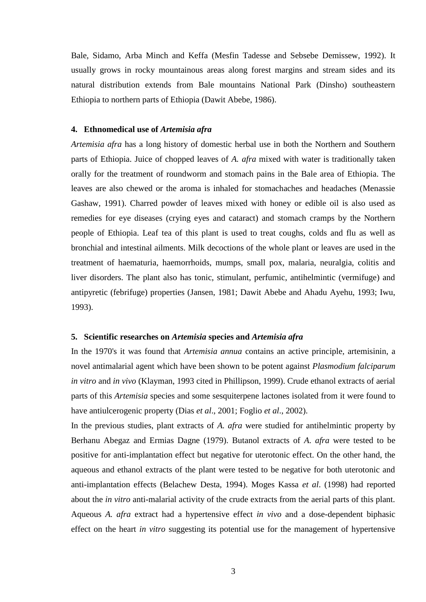Bale, Sidamo, Arba Minch and Keffa (Mesfin Tadesse and Sebsebe Demissew, 1992). It usually grows in rocky mountainous areas along forest margins and stream sides and its natural distribution extends from Bale mountains National Park (Dinsho) southeastern Ethiopia to northern parts of Ethiopia (Dawit Abebe, 1986).

## **4. Ethnomedical use of** *Artemisia afra*

*Artemisia afra* has a long history of domestic herbal use in both the Northern and Southern parts of Ethiopia. Juice of chopped leaves of *A. afra* mixed with water is traditionally taken orally for the treatment of roundworm and stomach pains in the Bale area of Ethiopia. The leaves are also chewed or the aroma is inhaled for stomachaches and headaches (Menassie Gashaw, 1991). Charred powder of leaves mixed with honey or edible oil is also used as remedies for eye diseases (crying eyes and cataract) and stomach cramps by the Northern people of Ethiopia. Leaf tea of this plant is used to treat coughs, colds and flu as well as bronchial and intestinal ailments. Milk decoctions of the whole plant or leaves are used in the treatment of haematuria, haemorrhoids, mumps, small pox, malaria, neuralgia, colitis and liver disorders. The plant also has tonic, stimulant, perfumic, antihelmintic (vermifuge) and antipyretic (febrifuge) properties (Jansen, 1981; Dawit Abebe and Ahadu Ayehu, 1993; Iwu, 1993).

# **5. Scientific researches on** *Artemisia* **species and** *Artemisia afra*

In the 1970's it was found that *Artemisia annua* contains an active principle, artemisinin, a novel antimalarial agent which have been shown to be potent against *Plasmodium falciparum in vitro* and *in vivo* (Klayman, 1993 cited in Phillipson, 1999). Crude ethanol extracts of aerial parts of this *Artemisia* species and some sesquiterpene lactones isolated from it were found to have antiulcerogenic property (Dias *et al*., 2001; Foglio *et al*., 2002).

In the previous studies, plant extracts of *A. afra* were studied for antihelmintic property by Berhanu Abegaz and Ermias Dagne (1979). Butanol extracts of *A. afra* were tested to be positive for anti-implantation effect but negative for uterotonic effect. On the other hand, the aqueous and ethanol extracts of the plant were tested to be negative for both uterotonic and anti-implantation effects (Belachew Desta, 1994). Moges Kassa *et al*. (1998) had reported about the *in vitro* anti-malarial activity of the crude extracts from the aerial parts of this plant. Aqueous *A. afra* extract had a hypertensive effect *in vivo* and a dose-dependent biphasic effect on the heart *in vitro* suggesting its potential use for the management of hypertensive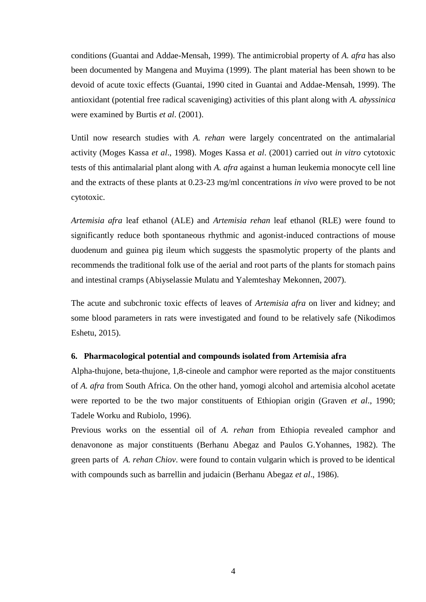conditions (Guantai and Addae-Mensah, 1999). The antimicrobial property of *A. afra* has also been documented by Mangena and Muyima (1999). The plant material has been shown to be devoid of acute toxic effects (Guantai, 1990 cited in Guantai and Addae-Mensah, 1999). The antioxidant (potential free radical scaveniging) activities of this plant along with *A. abyssinica* were examined by Burtis *et al*. (2001).

Until now research studies with *A. rehan* were largely concentrated on the antimalarial activity (Moges Kassa *et al*., 1998). Moges Kassa *et al*. (2001) carried out *in vitro* cytotoxic tests of this antimalarial plant along with *A. afra* against a human leukemia monocyte cell line and the extracts of these plants at 0.23-23 mg/ml concentrations *in vivo* were proved to be not cytotoxic.

*Artemisia afra* leaf ethanol (ALE) and *Artemisia rehan* leaf ethanol (RLE) were found to significantly reduce both spontaneous rhythmic and agonist-induced contractions of mouse duodenum and guinea pig ileum which suggests the spasmolytic property of the plants and recommends the traditional folk use of the aerial and root parts of the plants for stomach pains and intestinal cramps (Abiyselassie Mulatu and Yalemteshay Mekonnen, 2007).

The acute and subchronic toxic effects of leaves of *Artemisia afra* on liver and kidney; and some blood parameters in rats were investigated and found to be relatively safe (Nikodimos Eshetu, 2015).

### **6. Pharmacological potential and compounds isolated from Artemisia afra**

Alpha-thujone, beta-thujone, 1,8-cineole and camphor were reported as the major constituents of *A. afra* from South Africa. On the other hand, yomogi alcohol and artemisia alcohol acetate were reported to be the two major constituents of Ethiopian origin (Graven *et al*., 1990; Tadele Worku and Rubiolo, 1996).

Previous works on the essential oil of *A. rehan* from Ethiopia revealed camphor and denavonone as major constituents (Berhanu Abegaz and Paulos G.Yohannes, 1982). The green parts of *A. rehan Chiov*. were found to contain vulgarin which is proved to be identical with compounds such as barrellin and judaicin (Berhanu Abegaz *et al*., 1986).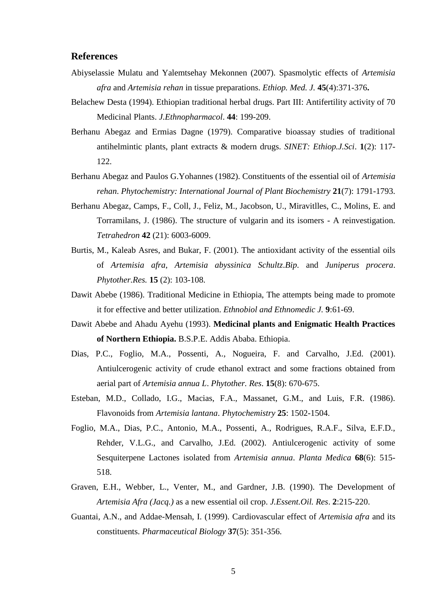# **References**

- Abiyselassie Mulatu and Yalemtsehay Mekonnen (2007). Spasmolytic effects of *Artemisia afra* and *Artemisia rehan* in tissue preparations. *Ethiop. Med. J.* **45**(4):371-376**.**
- Belachew Desta (1994). Ethiopian traditional herbal drugs. Part III: Antifertility activity of 70 Medicinal Plants. *J.Ethnopharmacol*. **44**: 199-209.
- Berhanu Abegaz and Ermias Dagne (1979). Comparative bioassay studies of traditional antihelmintic plants, plant extracts & modern drugs. *SINET: Ethiop.J.Sci*. **1**(2): 117- 122.
- Berhanu Abegaz and Paulos G.Yohannes (1982). Constituents of the essential oil of *Artemisia rehan*. *Phytochemistry: International Journal of Plant Biochemistry* **21**(7): 1791-1793.
- Berhanu Abegaz, Camps, F., Coll, J., Feliz, M., Jacobson, U., Miravitlles, C., Molins, E. and Torramilans, J. (1986). The structure of vulgarin and its isomers - A reinvestigation. *Tetrahedron* **42** (21): 6003-6009.
- Burtis, M., Kaleab Asres, and Bukar, F. (2001). The antioxidant activity of the essential oils of *Artemisia afra*, *Artemisia abyssinica Schultz*.*Bip*. and *Juniperus procera*. *Phytother.Res.* **15** (2): 103-108.
- Dawit Abebe (1986). Traditional Medicine in Ethiopia, The attempts being made to promote it for effective and better utilization. *Ethnobiol and Ethnomedic J.* **9**:61-69.
- Dawit Abebe and Ahadu Ayehu (1993). **Medicinal plants and Enigmatic Health Practices of Northern Ethiopia.** B.S.P.E. Addis Ababa. Ethiopia.
- Dias, P.C., Foglio, M.A., Possenti, A., Nogueira, F. and Carvalho, J.Ed. (2001). Antiulcerogenic activity of crude ethanol extract and some fractions obtained from aerial part of *Artemisia annua L*. *Phytother. Res*. **15**(8): 670-675.
- Esteban, M.D., Collado, I.G., Macias, F.A., Massanet, G.M., and Luis, F.R. (1986). Flavonoids from *Artemisia lantana*. *Phytochemistry* **25**: 1502-1504.
- Foglio, M.A., Dias, P.C., Antonio, M.A., Possenti, A., Rodrigues, R.A.F., Silva, E.F.D., Rehder, V.L.G., and Carvalho, J.Ed. (2002). Antiulcerogenic activity of some Sesquiterpene Lactones isolated from *Artemisia annua*. *Planta Medica* **68**(6): 515- 518.
- Graven, E.H., Webber, L., Venter, M., and Gardner, J.B. (1990). The Development of *Artemisia Afra (Jacq.)* as a new essential oil crop. *J.Essent.Oil. Res*. **2**:215-220.
- Guantai, A.N., and Addae-Mensah, I. (1999). Cardiovascular effect of *Artemisia afra* and its constituents. *Pharmaceutical Biology* **37**(5): 351-356.